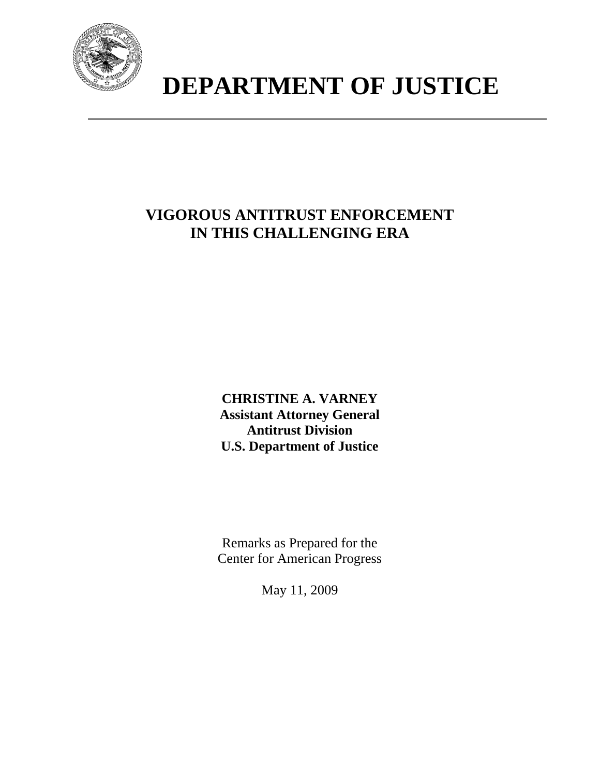

# **DEPARTMENT OF JUSTICE**

# **VIGOROUS ANTITRUST ENFORCEMENT IN THIS CHALLENGING ERA**

**CHRISTINE A. VARNEY Assistant Attorney General Antitrust Division U.S. Department of Justice**

Remarks as Prepared for the Center for American Progress

May 11, 2009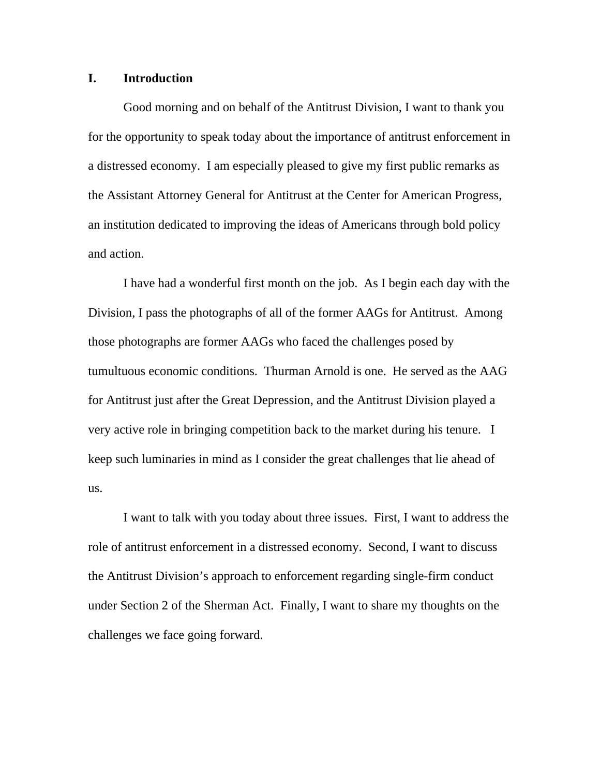#### **I. Introduction**

Good morning and on behalf of the Antitrust Division, I want to thank you for the opportunity to speak today about the importance of antitrust enforcement in a distressed economy. I am especially pleased to give my first public remarks as the Assistant Attorney General for Antitrust at the Center for American Progress, an institution dedicated to improving the ideas of Americans through bold policy and action.

 I have had a wonderful first month on the job. As I begin each day with the Division, I pass the photographs of all of the former AAGs for Antitrust. Among those photographs are former AAGs who faced the challenges posed by tumultuous economic conditions. Thurman Arnold is one. He served as the AAG for Antitrust just after the Great Depression, and the Antitrust Division played a very active role in bringing competition back to the market during his tenure. I keep such luminaries in mind as I consider the great challenges that lie ahead of us.

 I want to talk with you today about three issues. First, I want to address the role of antitrust enforcement in a distressed economy. Second, I want to discuss the Antitrust Division's approach to enforcement regarding single-firm conduct under Section 2 of the Sherman Act. Finally, I want to share my thoughts on the challenges we face going forward.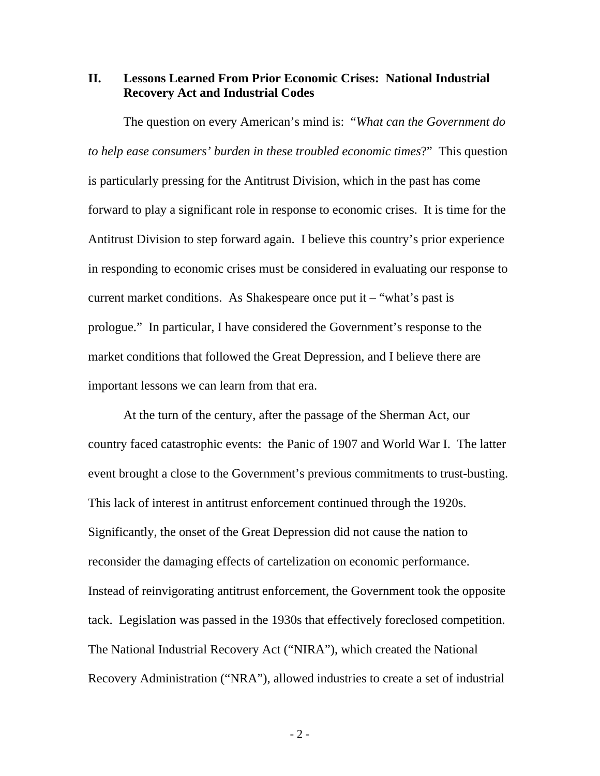### **II. Lessons Learned From Prior Economic Crises: National Industrial Recovery Act and Industrial Codes**

 The question on every American's mind is: "*What can the Government do to help ease consumers' burden in these troubled economic times*?" This question is particularly pressing for the Antitrust Division, which in the past has come forward to play a significant role in response to economic crises. It is time for the Antitrust Division to step forward again. I believe this country's prior experience in responding to economic crises must be considered in evaluating our response to current market conditions. As Shakespeare once put it  $-$  "what's past is prologue." In particular, I have considered the Government's response to the market conditions that followed the Great Depression, and I believe there are important lessons we can learn from that era.

 At the turn of the century, after the passage of the Sherman Act, our country faced catastrophic events: the Panic of 1907 and World War I. The latter event brought a close to the Government's previous commitments to trust-busting. This lack of interest in antitrust enforcement continued through the 1920s. Significantly, the onset of the Great Depression did not cause the nation to reconsider the damaging effects of cartelization on economic performance. Instead of reinvigorating antitrust enforcement, the Government took the opposite tack. Legislation was passed in the 1930s that effectively foreclosed competition. The National Industrial Recovery Act ("NIRA"), which created the National Recovery Administration ("NRA"), allowed industries to create a set of industrial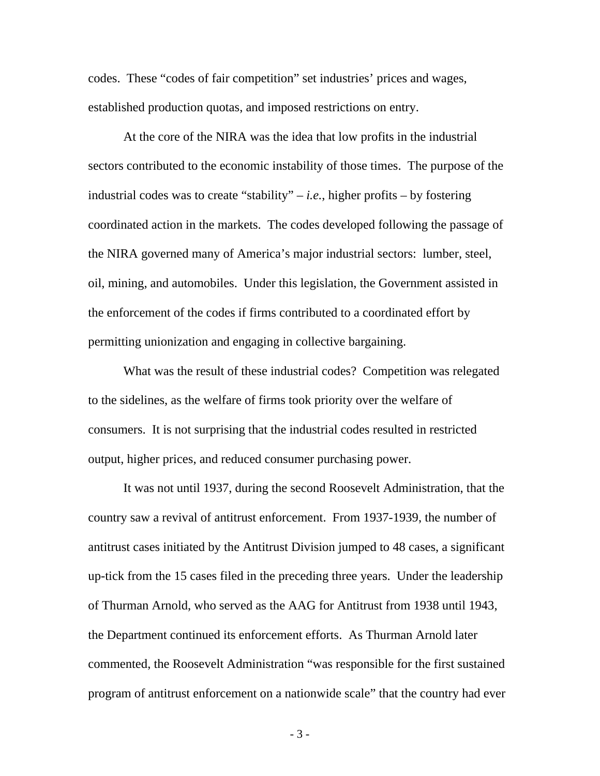codes. These "codes of fair competition" set industries' prices and wages, established production quotas, and imposed restrictions on entry.

At the core of the NIRA was the idea that low profits in the industrial sectors contributed to the economic instability of those times. The purpose of the industrial codes was to create "stability" – *i.e.*, higher profits – by fostering coordinated action in the markets. The codes developed following the passage of the NIRA governed many of America's major industrial sectors: lumber, steel, oil, mining, and automobiles. Under this legislation, the Government assisted in the enforcement of the codes if firms contributed to a coordinated effort by permitting unionization and engaging in collective bargaining.

What was the result of these industrial codes? Competition was relegated to the sidelines, as the welfare of firms took priority over the welfare of consumers. It is not surprising that the industrial codes resulted in restricted output, higher prices, and reduced consumer purchasing power.

It was not until 1937, during the second Roosevelt Administration, that the country saw a revival of antitrust enforcement. From 1937-1939, the number of antitrust cases initiated by the Antitrust Division jumped to 48 cases, a significant up-tick from the 15 cases filed in the preceding three years. Under the leadership of Thurman Arnold, who served as the AAG for Antitrust from 1938 until 1943, the Department continued its enforcement efforts. As Thurman Arnold later commented, the Roosevelt Administration "was responsible for the first sustained program of antitrust enforcement on a nationwide scale" that the country had ever

- 3 -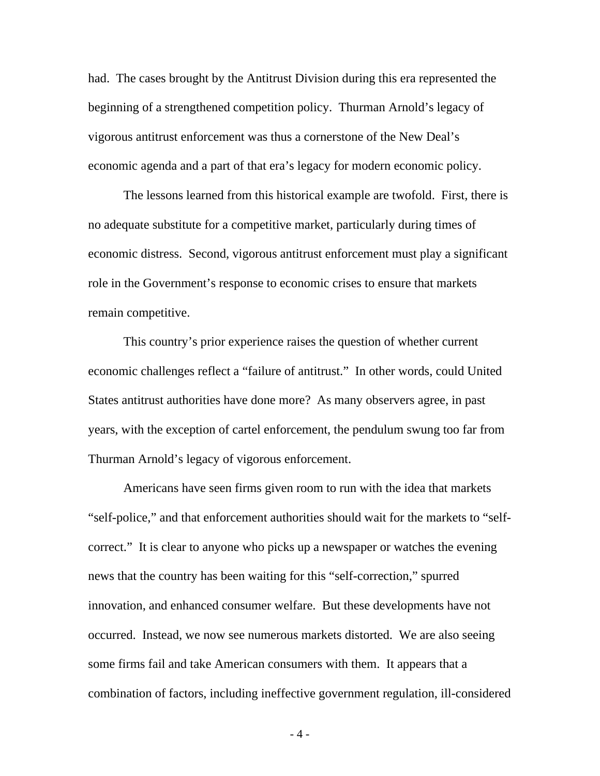had. The cases brought by the Antitrust Division during this era represented the beginning of a strengthened competition policy. Thurman Arnold's legacy of vigorous antitrust enforcement was thus a cornerstone of the New Deal's economic agenda and a part of that era's legacy for modern economic policy.

The lessons learned from this historical example are twofold. First, there is no adequate substitute for a competitive market, particularly during times of economic distress. Second, vigorous antitrust enforcement must play a significant role in the Government's response to economic crises to ensure that markets remain competitive.

This country's prior experience raises the question of whether current economic challenges reflect a "failure of antitrust." In other words, could United States antitrust authorities have done more? As many observers agree, in past years, with the exception of cartel enforcement, the pendulum swung too far from Thurman Arnold's legacy of vigorous enforcement.

Americans have seen firms given room to run with the idea that markets "self-police," and that enforcement authorities should wait for the markets to "selfcorrect." It is clear to anyone who picks up a newspaper or watches the evening news that the country has been waiting for this "self-correction," spurred innovation, and enhanced consumer welfare. But these developments have not occurred. Instead, we now see numerous markets distorted. We are also seeing some firms fail and take American consumers with them. It appears that a combination of factors, including ineffective government regulation, ill-considered

- 4 -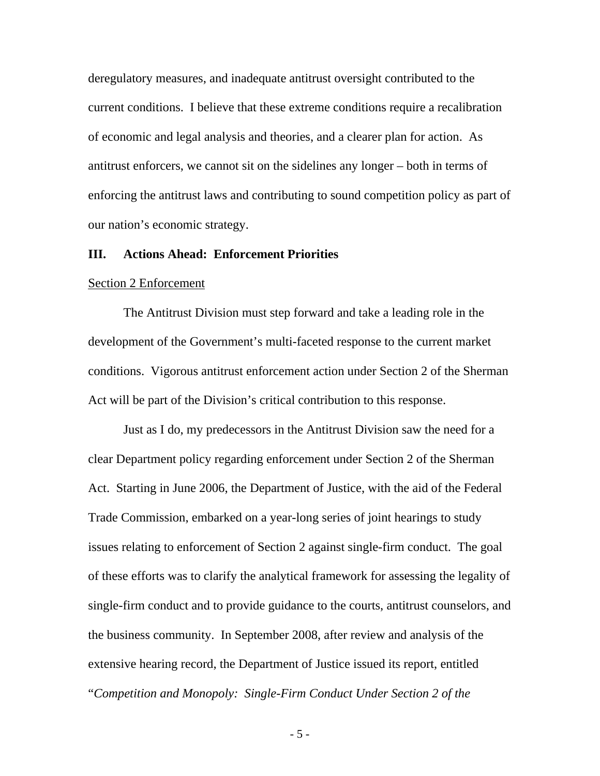deregulatory measures, and inadequate antitrust oversight contributed to the current conditions. I believe that these extreme conditions require a recalibration of economic and legal analysis and theories, and a clearer plan for action. As antitrust enforcers, we cannot sit on the sidelines any longer – both in terms of enforcing the antitrust laws and contributing to sound competition policy as part of our nation's economic strategy.

#### **III. Actions Ahead: Enforcement Priorities**

#### Section 2 Enforcement

The Antitrust Division must step forward and take a leading role in the development of the Government's multi-faceted response to the current market conditions. Vigorous antitrust enforcement action under Section 2 of the Sherman Act will be part of the Division's critical contribution to this response.

Just as I do, my predecessors in the Antitrust Division saw the need for a clear Department policy regarding enforcement under Section 2 of the Sherman Act. Starting in June 2006, the Department of Justice, with the aid of the Federal Trade Commission, embarked on a year-long series of joint hearings to study issues relating to enforcement of Section 2 against single-firm conduct. The goal of these efforts was to clarify the analytical framework for assessing the legality of single-firm conduct and to provide guidance to the courts, antitrust counselors, and the business community. In September 2008, after review and analysis of the extensive hearing record, the Department of Justice issued its report, entitled "*Competition and Monopoly: Single-Firm Conduct Under Section 2 of the* 

- 5 -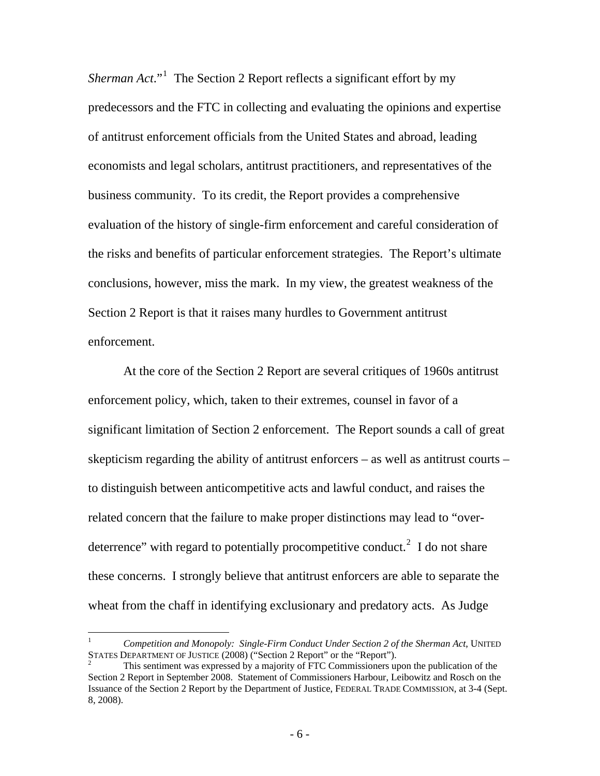Sherman Act."<sup>[1](#page-6-0)</sup> The Section 2 Report reflects a significant effort by my predecessors and the FTC in collecting and evaluating the opinions and expertise of antitrust enforcement officials from the United States and abroad, leading economists and legal scholars, antitrust practitioners, and representatives of the business community. To its credit, the Report provides a comprehensive evaluation of the history of single-firm enforcement and careful consideration of the risks and benefits of particular enforcement strategies. The Report's ultimate conclusions, however, miss the mark. In my view, the greatest weakness of the Section 2 Report is that it raises many hurdles to Government antitrust enforcement.

At the core of the Section 2 Report are several critiques of 1960s antitrust enforcement policy, which, taken to their extremes, counsel in favor of a significant limitation of Section 2 enforcement. The Report sounds a call of great skepticism regarding the ability of antitrust enforcers – as well as antitrust courts – to distinguish between anticompetitive acts and lawful conduct, and raises the related concern that the failure to make proper distinctions may lead to "over-deterrence" with regard to potentially procompetitive conduct.<sup>[2](#page-6-1)</sup> I do not share these concerns. I strongly believe that antitrust enforcers are able to separate the wheat from the chaff in identifying exclusionary and predatory acts. As Judge

 $\overline{a}$ 

<span id="page-6-0"></span><sup>1</sup> *Competition and Monopoly: Single-Firm Conduct Under Section 2 of the Sherman Act*, UNITED STATES DEPARTMENT OF JUSTICE (2008) ("Section 2 Report" or the "Report"). 2

<span id="page-6-1"></span>This sentiment was expressed by a majority of FTC Commissioners upon the publication of the Section 2 Report in September 2008. Statement of Commissioners Harbour, Leibowitz and Rosch on the Issuance of the Section 2 Report by the Department of Justice, FEDERAL TRADE COMMISSION, at 3-4 (Sept. 8, 2008).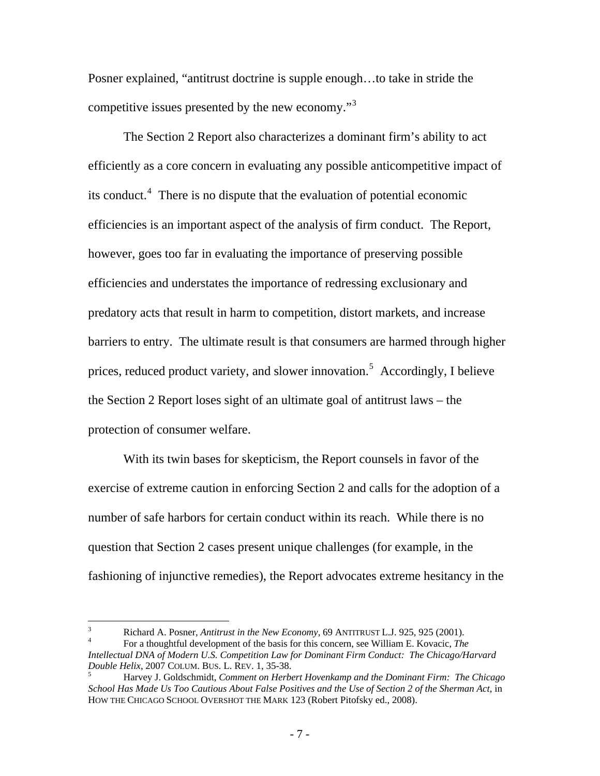Posner explained, "antitrust doctrine is supple enough…to take in stride the competitive issues presented by the new economy."[3](#page-7-0)

The Section 2 Report also characterizes a dominant firm's ability to act efficiently as a core concern in evaluating any possible anticompetitive impact of its conduct.<sup>[4](#page-7-1)</sup> There is no dispute that the evaluation of potential economic efficiencies is an important aspect of the analysis of firm conduct. The Report, however, goes too far in evaluating the importance of preserving possible efficiencies and understates the importance of redressing exclusionary and predatory acts that result in harm to competition, distort markets, and increase barriers to entry. The ultimate result is that consumers are harmed through higher prices, reduced product variety, and slower innovation.<sup>[5](#page-7-2)</sup> Accordingly, I believe the Section 2 Report loses sight of an ultimate goal of antitrust laws – the protection of consumer welfare.

With its twin bases for skepticism, the Report counsels in favor of the exercise of extreme caution in enforcing Section 2 and calls for the adoption of a number of safe harbors for certain conduct within its reach. While there is no question that Section 2 cases present unique challenges (for example, in the fashioning of injunctive remedies), the Report advocates extreme hesitancy in the

<span id="page-7-0"></span> $\frac{1}{3}$ Richard A. Posner, *Antitrust in the New Economy*, 69 ANTITRUST L.J. 925, 925 (2001). 4

<span id="page-7-1"></span>For a thoughtful development of the basis for this concern, see William E. Kovacic, *The Intellectual DNA of Modern U.S. Competition Law for Dominant Firm Conduct: The Chicago/Harvard Double Helix*, 2007 COLUM. BUS. L. REV. 1, 35-38. 5

<span id="page-7-2"></span>Harvey J. Goldschmidt, *Comment on Herbert Hovenkamp and the Dominant Firm: The Chicago School Has Made Us Too Cautious About False Positives and the Use of Section 2 of the Sherman Act*, in HOW THE CHICAGO SCHOOL OVERSHOT THE MARK 123 (Robert Pitofsky ed., 2008).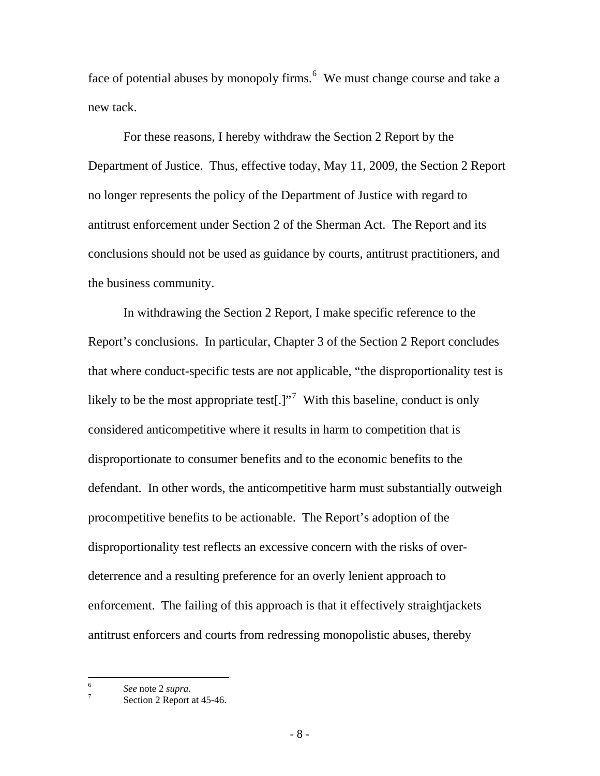face of potential abuses by monopoly firms.  $6\,$  $6\,$  We must change course and take a new tack.

For these reasons, I hereby withdraw the Section 2 Report by the Department of Justice. Thus, effective today, May 11, 2009, the Section 2 Report no longer represents the policy of the Department of Justice with regard to antitrust enforcement under Section 2 of the Sherman Act. The Report and its conclusions should not be used as guidance by courts, antitrust practitioners, and the business community.

In withdrawing the Section 2 Report, I make specific reference to the Report's conclusions. In particular, Chapter 3 of the Section 2 Report concludes that where conduct-specific tests are not applicable, "the disproportionality test is likely to be the most appropriate test[.]"<sup>[7](#page-8-1)</sup> With this baseline, conduct is only considered anticompetitive where it results in harm to competition that is disproportionate to consumer benefits and to the economic benefits to the defendant. In other words, the anticompetitive harm must substantially outweigh procompetitive benefits to be actionable. The Report's adoption of the disproportionality test reflects an excessive concern with the risks of overdeterrence and a resulting preference for an overly lenient approach to enforcement. The failing of this approach is that it effectively straightjackets antitrust enforcers and courts from redressing monopolistic abuses, thereby

<span id="page-8-0"></span> $\frac{1}{6}$ *See* note 2 *supra*. 7

<span id="page-8-1"></span>Section 2 Report at 45-46.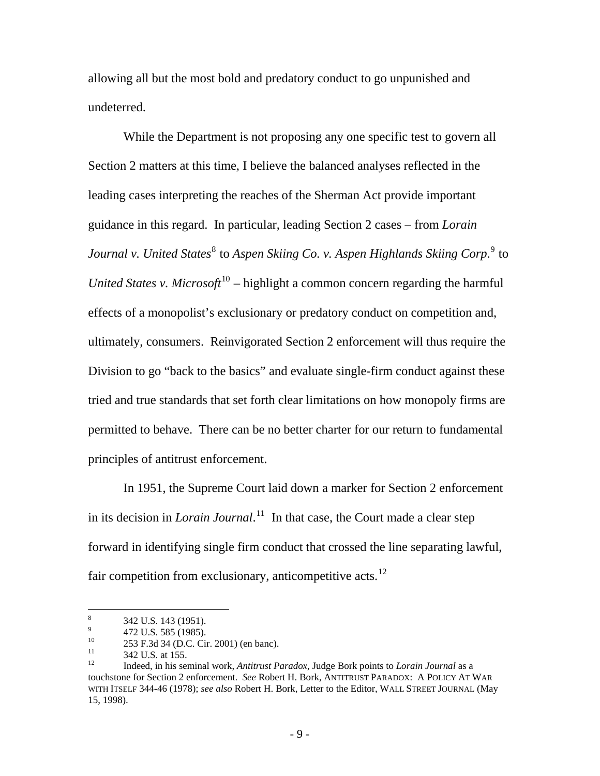allowing all but the most bold and predatory conduct to go unpunished and undeterred.

While the Department is not proposing any one specific test to govern all Section 2 matters at this time, I believe the balanced analyses reflected in the leading cases interpreting the reaches of the Sherman Act provide important guidance in this regard. In particular, leading Section 2 cases – from *Lorain*  Journal v. United States<sup>[8](#page-9-0)</sup> to Aspen Skiing Co. v. Aspen Highlands Skiing Corp.<sup>[9](#page-9-1)</sup> to *United States v. Microsoft*<sup>[10](#page-9-2)</sup> – highlight a common concern regarding the harmful effects of a monopolist's exclusionary or predatory conduct on competition and, ultimately, consumers. Reinvigorated Section 2 enforcement will thus require the Division to go "back to the basics" and evaluate single-firm conduct against these tried and true standards that set forth clear limitations on how monopoly firms are permitted to behave. There can be no better charter for our return to fundamental principles of antitrust enforcement.

In 1951, the Supreme Court laid down a marker for Section 2 enforcement in its decision in *Lorain Journal*. [11](#page-9-3) In that case, the Court made a clear step forward in identifying single firm conduct that crossed the line separating lawful, fair competition from exclusionary, anticompetitive acts.<sup>[12](#page-9-4)</sup>

 8 342 U.S. 143 (1951).

<span id="page-9-1"></span><span id="page-9-0"></span><sup>9</sup> <sup>9</sup> 472 U.S. 585 (1985).

<span id="page-9-2"></span> $^{10}$  253 F.3d 34 (D.C. Cir. 2001) (en banc).<br> $^{11}$  242 U.S. et 155

<span id="page-9-3"></span> $\frac{11}{12}$  342 U.S. at 155.

<span id="page-9-4"></span><sup>12</sup> Indeed, in his seminal work, *Antitrust Paradox*, Judge Bork points to *Lorain Journal* as a touchstone for Section 2 enforcement. *See* Robert H. Bork, ANTITRUST PARADOX: A POLICY AT WAR WITH ITSELF 344-46 (1978); *see also* Robert H. Bork, Letter to the Editor, WALL STREET JOURNAL (May 15, 1998).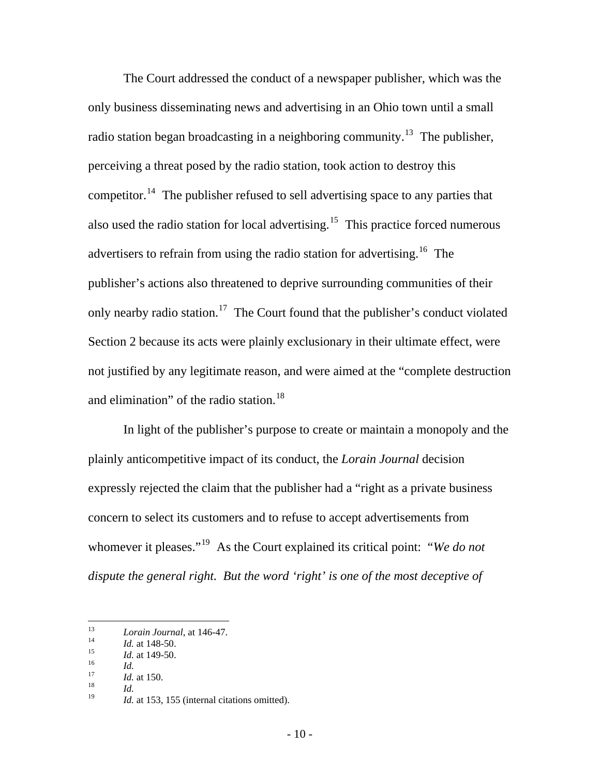The Court addressed the conduct of a newspaper publisher, which was the only business disseminating news and advertising in an Ohio town until a small radio station began broadcasting in a neighboring community.<sup>[13](#page-10-0)</sup> The publisher, perceiving a threat posed by the radio station, took action to destroy this competitor.<sup>[14](#page-10-1)</sup> The publisher refused to sell advertising space to any parties that also used the radio station for local advertising.<sup>[15](#page-10-2)</sup> This practice forced numerous advertisers to refrain from using the radio station for advertising.<sup>[16](#page-10-3)</sup> The publisher's actions also threatened to deprive surrounding communities of their only nearby radio station.<sup>[17](#page-10-4)</sup> The Court found that the publisher's conduct violated Section 2 because its acts were plainly exclusionary in their ultimate effect, were not justified by any legitimate reason, and were aimed at the "complete destruction and elimination" of the radio station.<sup>[18](#page-10-5)</sup>

In light of the publisher's purpose to create or maintain a monopoly and the plainly anticompetitive impact of its conduct, the *Lorain Journal* decision expressly rejected the claim that the publisher had a "right as a private business concern to select its customers and to refuse to accept advertisements from whomever it pleases."[19](#page-10-6) As the Court explained its critical point: "*We do not dispute the general right. But the word 'right' is one of the most deceptive of* 

<span id="page-10-6"></span><span id="page-10-5"></span>

<span id="page-10-0"></span><sup>13</sup> 

<span id="page-10-2"></span>

<span id="page-10-3"></span>

<span id="page-10-4"></span>

<span id="page-10-1"></span><sup>13&</sup>lt;br>
14 *Id.* at 148-50.<br>
15 *Id.* at 149-50.<br>
16 *Id.*<br>
17 *Id.* at 150.<br>
18 *Id.* 153, 155 (internal citations omitted).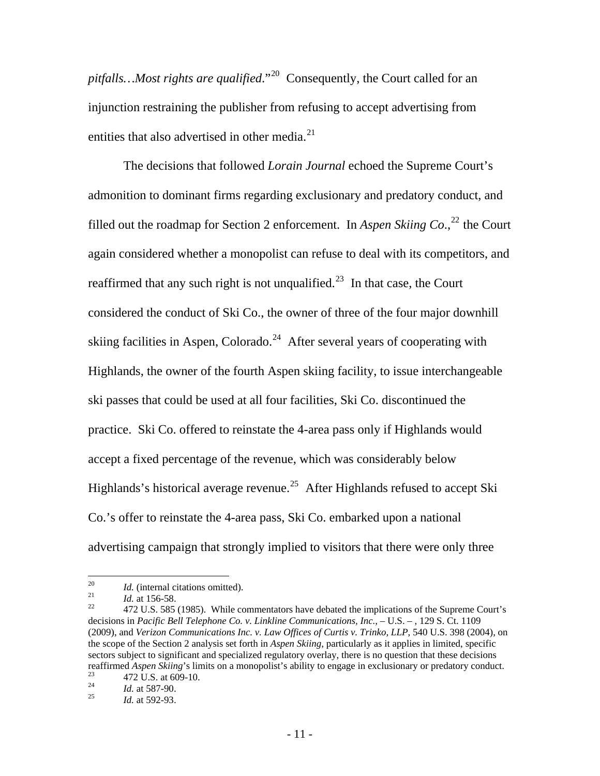*pitfalls…Most rights are qualified*."[20](#page-11-0) Consequently, the Court called for an injunction restraining the publisher from refusing to accept advertising from entities that also advertised in other media. $^{21}$  $^{21}$  $^{21}$ 

The decisions that followed *Lorain Journal* echoed the Supreme Court's admonition to dominant firms regarding exclusionary and predatory conduct, and filled out the roadmap for Section 2 enforcement. In *Aspen Skiing Co.*<sup>[22](#page-11-2)</sup> the Court again considered whether a monopolist can refuse to deal with its competitors, and reaffirmed that any such right is not unqualified.<sup>[23](#page-11-3)</sup> In that case, the Court considered the conduct of Ski Co., the owner of three of the four major downhill skiing facilities in Aspen, Colorado.<sup>[24](#page-11-4)</sup> After several years of cooperating with Highlands, the owner of the fourth Aspen skiing facility, to issue interchangeable ski passes that could be used at all four facilities, Ski Co. discontinued the practice. Ski Co. offered to reinstate the 4-area pass only if Highlands would accept a fixed percentage of the revenue, which was considerably below Highlands's historical average revenue.<sup>[25](#page-11-5)</sup> After Highlands refused to accept Ski Co.'s offer to reinstate the 4-area pass, Ski Co. embarked upon a national advertising campaign that strongly implied to visitors that there were only three

<span id="page-11-1"></span><span id="page-11-0"></span> $20\,$ 

<span id="page-11-2"></span>

<sup>&</sup>lt;sup>20</sup>*Id.* (internal citations omitted).<br><sup>21</sup> *Id.* at 156-58. 22 472 U.S. 585 (1985). While commentators have debated the implications of the Supreme Court's decisions in *Pacific Bell Telephone Co. v. Linkline Communications, Inc.*, – U.S. – , 129 S. Ct. 1109 (2009), and *Verizon Communications Inc. v. Law Offices of Curtis v. Trinko, LLP*, 540 U.S. 398 (2004), on the scope of the Section 2 analysis set forth in *Aspen Skiing*, particularly as it applies in limited, specific sectors subject to significant and specialized regulatory overlay, there is no question that these decisions reaffirmed *Aspen Skiing*'s limits on a monopolist's ability to engage in exclusionary or predatory conduct.<br><sup>23</sup> 472 U.S. at 609-10.<br><sup>24</sup> 47 at 587 90.

<span id="page-11-3"></span>

<span id="page-11-5"></span><span id="page-11-4"></span><sup>24</sup>*Id.* at 587-90. 25 *Id.* at 592-93.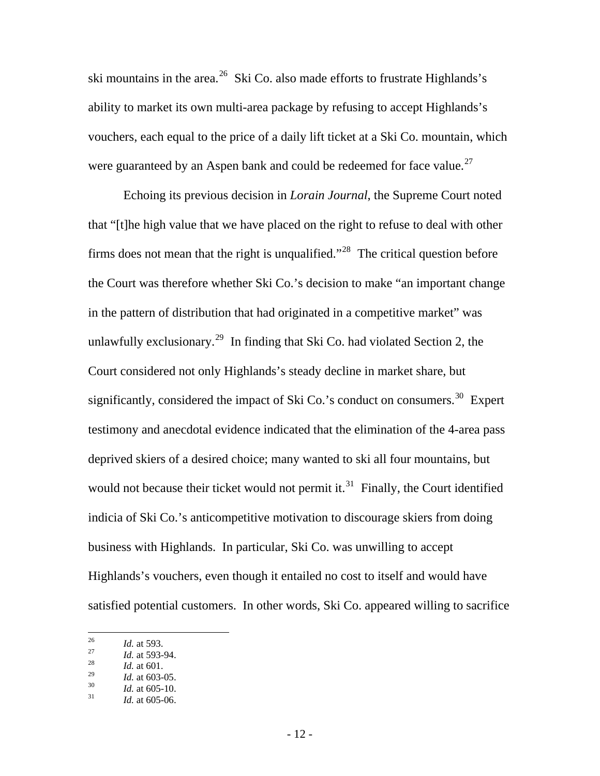ski mountains in the area.<sup>[26](#page-12-0)</sup> Ski Co. also made efforts to frustrate Highlands's ability to market its own multi-area package by refusing to accept Highlands's vouchers, each equal to the price of a daily lift ticket at a Ski Co. mountain, which were guaranteed by an Aspen bank and could be redeemed for face value.<sup>[27](#page-12-1)</sup>

Echoing its previous decision in *Lorain Journal*, the Supreme Court noted that "[t]he high value that we have placed on the right to refuse to deal with other firms does not mean that the right is unqualified."<sup>[28](#page-12-2)</sup> The critical question before the Court was therefore whether Ski Co.'s decision to make "an important change in the pattern of distribution that had originated in a competitive market" was unlawfully exclusionary.<sup>[29](#page-12-3)</sup> In finding that Ski Co. had violated Section 2, the Court considered not only Highlands's steady decline in market share, but significantly, considered the impact of Ski Co.'s conduct on consumers.<sup>[30](#page-12-4)</sup> Expert testimony and anecdotal evidence indicated that the elimination of the 4-area pass deprived skiers of a desired choice; many wanted to ski all four mountains, but would not because their ticket would not permit it. $31$  Finally, the Court identified indicia of Ski Co.'s anticompetitive motivation to discourage skiers from doing business with Highlands. In particular, Ski Co. was unwilling to accept Highlands's vouchers, even though it entailed no cost to itself and would have satisfied potential customers. In other words, Ski Co. appeared willing to sacrifice

<span id="page-12-1"></span><span id="page-12-0"></span> $26\,$ 

<sup>26</sup>*Id.* at 593. 27 *Id.* at 593-94. 28 *Id.* at 601.

<span id="page-12-2"></span>

<span id="page-12-5"></span><span id="page-12-4"></span>

<span id="page-12-3"></span><sup>29</sup>*Id.* at 603-05. 30 *Id.* at 605-10. 31 *Id.* at 605-06.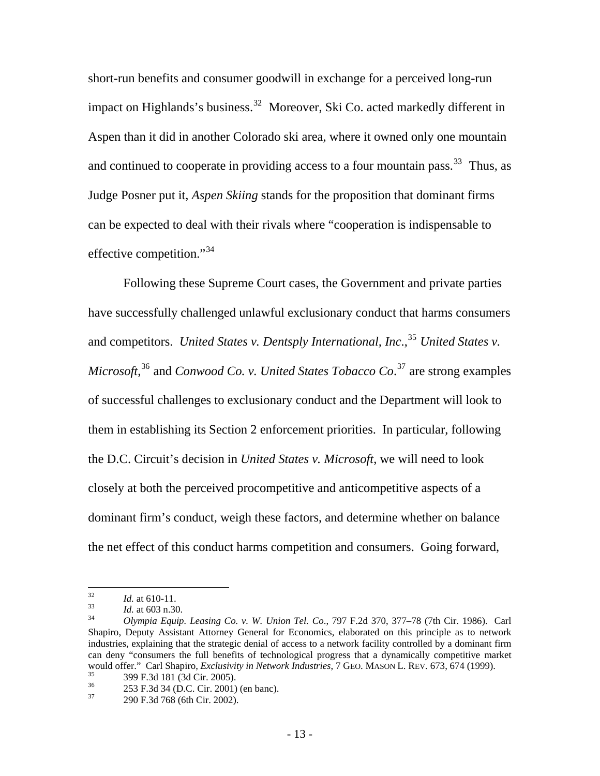short-run benefits and consumer goodwill in exchange for a perceived long-run impact on Highlands's business.<sup>[32](#page-13-0)</sup> Moreover, Ski Co. acted markedly different in Aspen than it did in another Colorado ski area, where it owned only one mountain and continued to cooperate in providing access to a four mountain pass.<sup>[33](#page-13-1)</sup> Thus, as Judge Posner put it, *Aspen Skiing* stands for the proposition that dominant firms can be expected to deal with their rivals where "cooperation is indispensable to effective competition."<sup>[34](#page-13-2)</sup>

Following these Supreme Court cases, the Government and private parties have successfully challenged unlawful exclusionary conduct that harms consumers and competitors. *United States v. Dentsply International, Inc.*<sup>[35](#page-13-3)</sup> *United States v. Microsoft*, [36](#page-13-4) and *Conwood Co. v. United States Tobacco Co*. [37](#page-13-5) are strong examples of successful challenges to exclusionary conduct and the Department will look to them in establishing its Section 2 enforcement priorities. In particular, following the D.C. Circuit's decision in *United States v. Microsoft*, we will need to look closely at both the perceived procompetitive and anticompetitive aspects of a dominant firm's conduct, weigh these factors, and determine whether on balance the net effect of this conduct harms competition and consumers. Going forward,

 $32$ 

<span id="page-13-2"></span>

<span id="page-13-1"></span><span id="page-13-0"></span><sup>32</sup>*Id.* at 610-11. 33 *Id.* at 603 n.30. 34 *Olympia Equip. Leasing Co. v. W. Union Tel. Co*., 797 F.2d 370, 377–78 (7th Cir. 1986). Carl Shapiro, Deputy Assistant Attorney General for Economics, elaborated on this principle as to network industries, explaining that the strategic denial of access to a network facility controlled by a dominant firm can deny "consumers the full benefits of technological progress that a dynamically competitive market would offer." Carl Shapiro, *Exclusivity in Network Industries*, 7 GEO. MASON L. REV. 673, 674 (1999).<br><sup>35</sup> 399 F.3d 181 (3d Cir. 2005).<br><sup>36</sup> 353 E 3d 34 (D.C. Cir. 2001) (an banc).

<span id="page-13-4"></span><span id="page-13-3"></span>

 $\frac{36}{37}$  253 F.3d 34 (D.C. Cir. 2001) (en banc).<br> $\frac{200 \text{ E } 34.768}{656}$  (6th Cir. 2002).

<span id="page-13-5"></span><sup>37 290</sup> F.3d 768 (6th Cir. 2002).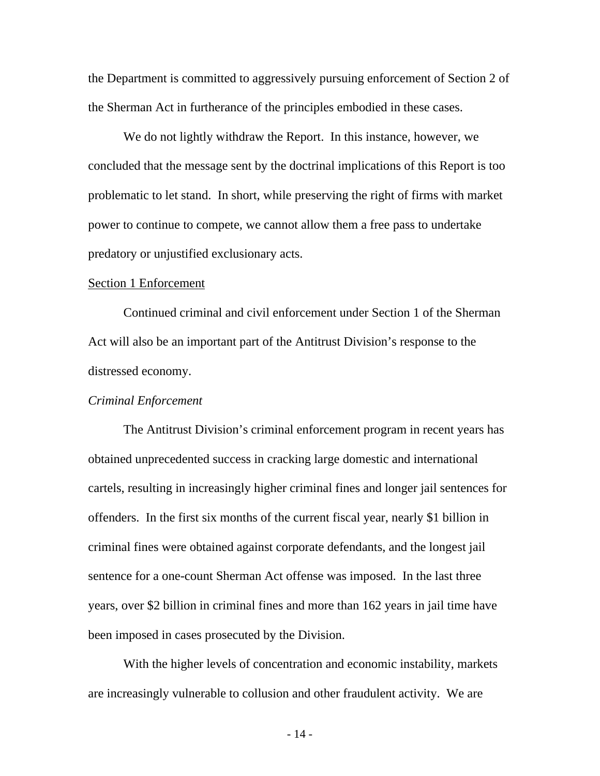the Department is committed to aggressively pursuing enforcement of Section 2 of the Sherman Act in furtherance of the principles embodied in these cases.

We do not lightly withdraw the Report. In this instance, however, we concluded that the message sent by the doctrinal implications of this Report is too problematic to let stand. In short, while preserving the right of firms with market power to continue to compete, we cannot allow them a free pass to undertake predatory or unjustified exclusionary acts.

#### Section 1 Enforcement

 Continued criminal and civil enforcement under Section 1 of the Sherman Act will also be an important part of the Antitrust Division's response to the distressed economy.

#### *Criminal Enforcement*

The Antitrust Division's criminal enforcement program in recent years has obtained unprecedented success in cracking large domestic and international cartels, resulting in increasingly higher criminal fines and longer jail sentences for offenders. In the first six months of the current fiscal year, nearly \$1 billion in criminal fines were obtained against corporate defendants, and the longest jail sentence for a one-count Sherman Act offense was imposed. In the last three years, over \$2 billion in criminal fines and more than 162 years in jail time have been imposed in cases prosecuted by the Division.

With the higher levels of concentration and economic instability, markets are increasingly vulnerable to collusion and other fraudulent activity. We are

- 14 -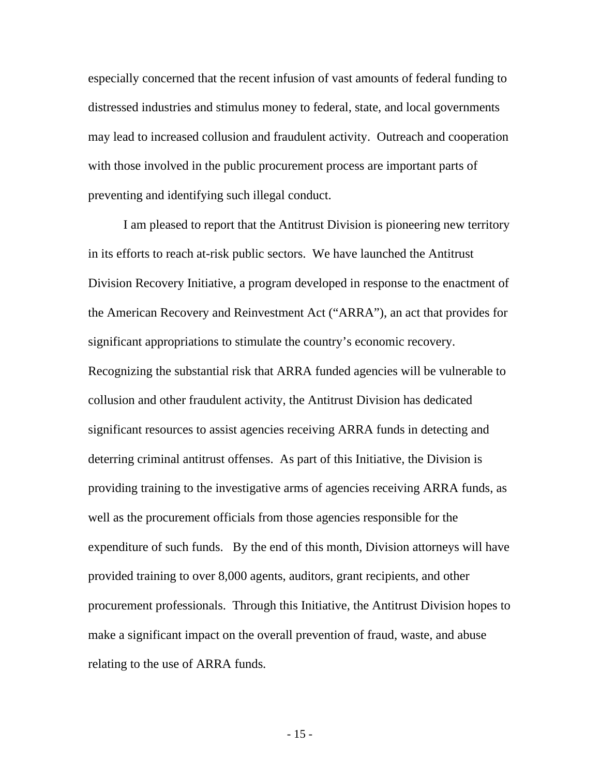especially concerned that the recent infusion of vast amounts of federal funding to distressed industries and stimulus money to federal, state, and local governments may lead to increased collusion and fraudulent activity. Outreach and cooperation with those involved in the public procurement process are important parts of preventing and identifying such illegal conduct.

I am pleased to report that the Antitrust Division is pioneering new territory in its efforts to reach at-risk public sectors. We have launched the Antitrust Division Recovery Initiative, a program developed in response to the enactment of the American Recovery and Reinvestment Act ("ARRA"), an act that provides for significant appropriations to stimulate the country's economic recovery. Recognizing the substantial risk that ARRA funded agencies will be vulnerable to collusion and other fraudulent activity, the Antitrust Division has dedicated significant resources to assist agencies receiving ARRA funds in detecting and deterring criminal antitrust offenses. As part of this Initiative, the Division is providing training to the investigative arms of agencies receiving ARRA funds, as well as the procurement officials from those agencies responsible for the expenditure of such funds. By the end of this month, Division attorneys will have provided training to over 8,000 agents, auditors, grant recipients, and other procurement professionals. Through this Initiative, the Antitrust Division hopes to make a significant impact on the overall prevention of fraud, waste, and abuse relating to the use of ARRA funds.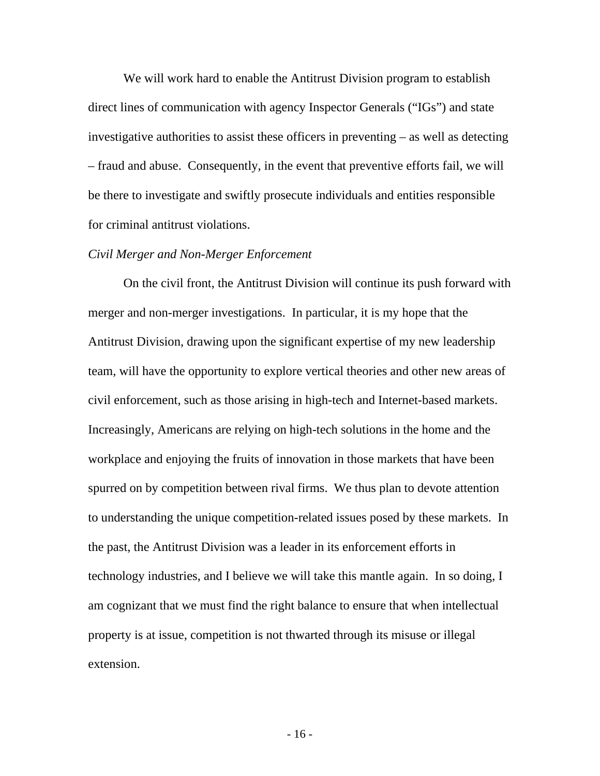We will work hard to enable the Antitrust Division program to establish direct lines of communication with agency Inspector Generals ("IGs") and state investigative authorities to assist these officers in preventing – as well as detecting – fraud and abuse. Consequently, in the event that preventive efforts fail, we will be there to investigate and swiftly prosecute individuals and entities responsible for criminal antitrust violations.

#### *Civil Merger and Non-Merger Enforcement*

 On the civil front, the Antitrust Division will continue its push forward with merger and non-merger investigations. In particular, it is my hope that the Antitrust Division, drawing upon the significant expertise of my new leadership team, will have the opportunity to explore vertical theories and other new areas of civil enforcement, such as those arising in high-tech and Internet-based markets. Increasingly, Americans are relying on high-tech solutions in the home and the workplace and enjoying the fruits of innovation in those markets that have been spurred on by competition between rival firms. We thus plan to devote attention to understanding the unique competition-related issues posed by these markets. In the past, the Antitrust Division was a leader in its enforcement efforts in technology industries, and I believe we will take this mantle again. In so doing, I am cognizant that we must find the right balance to ensure that when intellectual property is at issue, competition is not thwarted through its misuse or illegal extension.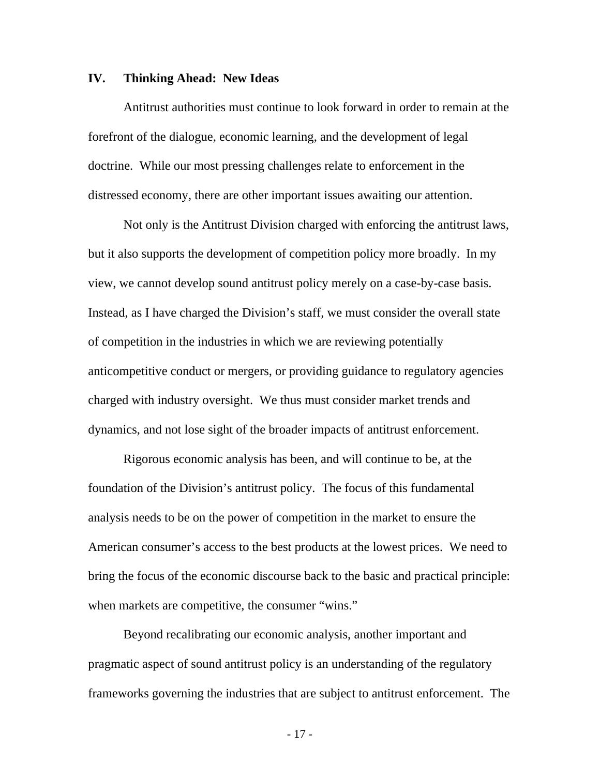#### **IV. Thinking Ahead: New Ideas**

 Antitrust authorities must continue to look forward in order to remain at the forefront of the dialogue, economic learning, and the development of legal doctrine. While our most pressing challenges relate to enforcement in the distressed economy, there are other important issues awaiting our attention.

Not only is the Antitrust Division charged with enforcing the antitrust laws, but it also supports the development of competition policy more broadly. In my view, we cannot develop sound antitrust policy merely on a case-by-case basis. Instead, as I have charged the Division's staff, we must consider the overall state of competition in the industries in which we are reviewing potentially anticompetitive conduct or mergers, or providing guidance to regulatory agencies charged with industry oversight. We thus must consider market trends and dynamics, and not lose sight of the broader impacts of antitrust enforcement.

Rigorous economic analysis has been, and will continue to be, at the foundation of the Division's antitrust policy. The focus of this fundamental analysis needs to be on the power of competition in the market to ensure the American consumer's access to the best products at the lowest prices. We need to bring the focus of the economic discourse back to the basic and practical principle: when markets are competitive, the consumer "wins."

Beyond recalibrating our economic analysis, another important and pragmatic aspect of sound antitrust policy is an understanding of the regulatory frameworks governing the industries that are subject to antitrust enforcement. The

- 17 -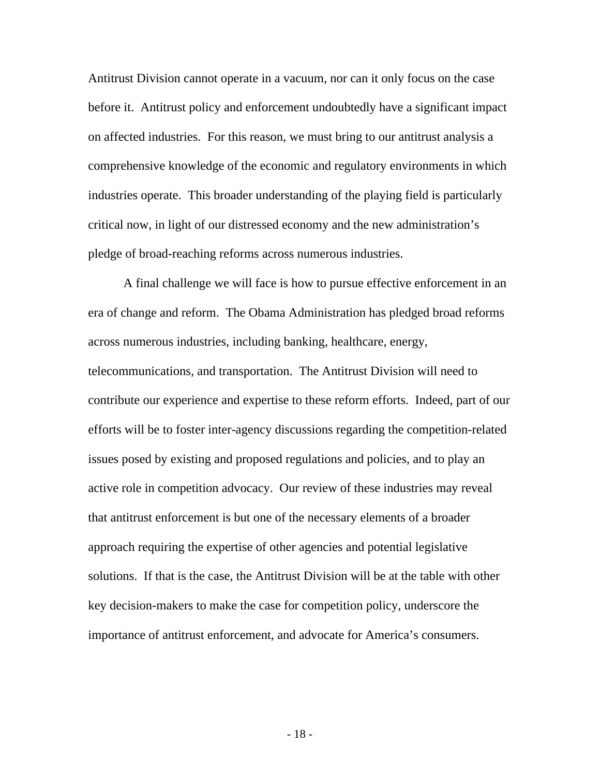Antitrust Division cannot operate in a vacuum, nor can it only focus on the case before it. Antitrust policy and enforcement undoubtedly have a significant impact on affected industries. For this reason, we must bring to our antitrust analysis a comprehensive knowledge of the economic and regulatory environments in which industries operate. This broader understanding of the playing field is particularly critical now, in light of our distressed economy and the new administration's pledge of broad-reaching reforms across numerous industries.

 A final challenge we will face is how to pursue effective enforcement in an era of change and reform. The Obama Administration has pledged broad reforms across numerous industries, including banking, healthcare, energy, telecommunications, and transportation. The Antitrust Division will need to contribute our experience and expertise to these reform efforts. Indeed, part of our efforts will be to foster inter-agency discussions regarding the competition-related issues posed by existing and proposed regulations and policies, and to play an active role in competition advocacy. Our review of these industries may reveal that antitrust enforcement is but one of the necessary elements of a broader approach requiring the expertise of other agencies and potential legislative solutions. If that is the case, the Antitrust Division will be at the table with other key decision-makers to make the case for competition policy, underscore the importance of antitrust enforcement, and advocate for America's consumers.

- 18 -